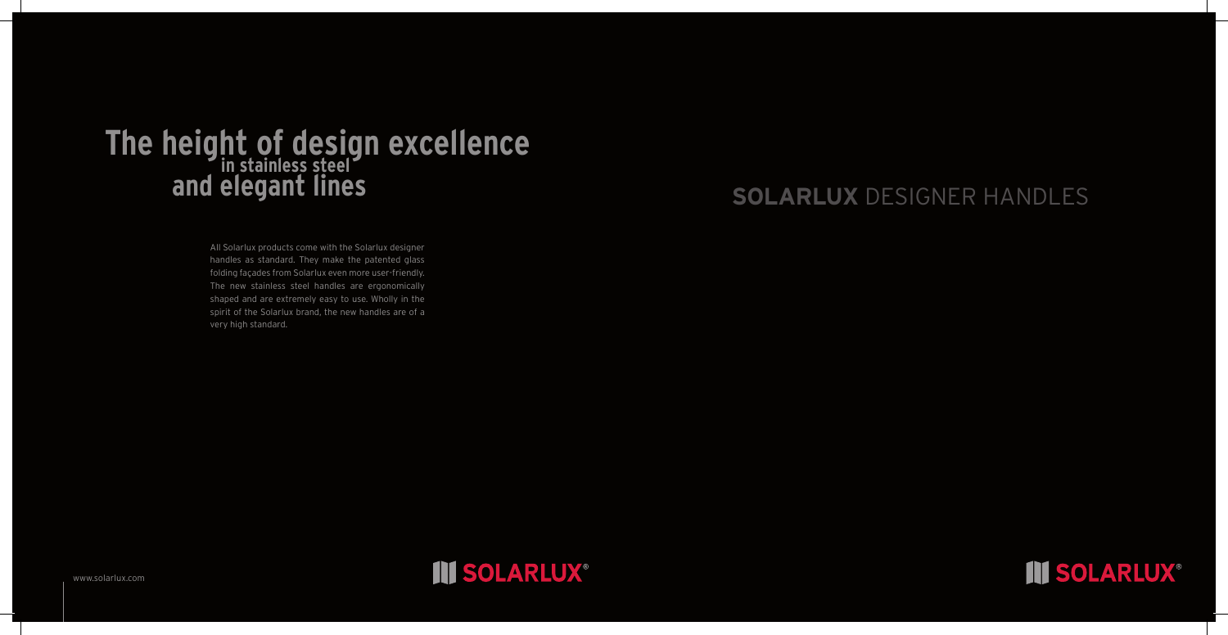## **Solarlux** DESIGNER HANDLES

All Solarlux products come with the Solarlux designer handles as standard. They make the patented glass folding façades from Solarlux even more user-friendly. The new stainless steel handles are ergonomically shaped and are extremely easy to use. Wholly in the spirit of the Solarlux brand, the new handles are of a very high standard.



## **The height of design excellence and elegant lines in stainless steel**